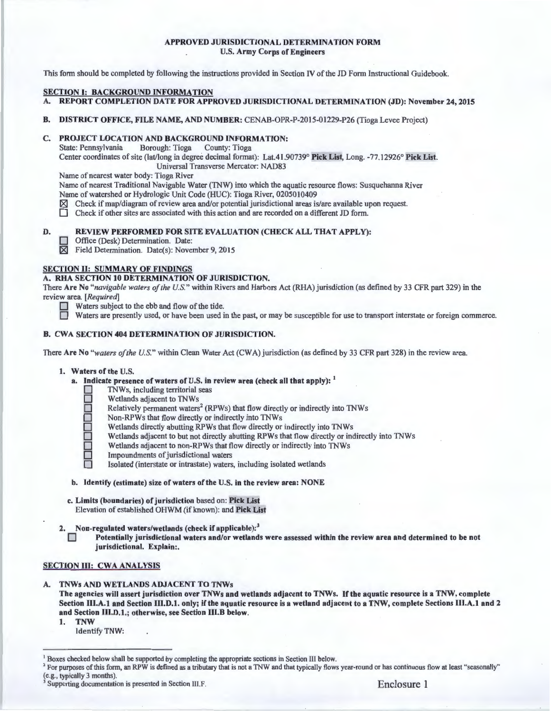### APPROVED JURISDICTIONAL DETERMINATION FORM U.S. Army Corps of Engineers

This form should be completed by following the instructions provided in Section IV of the JD Form Instructional Guidebook.

#### SECTION I: BACKGROUND INFORMATION

- REPORT COMPLETION DATE FOR APPROVED JURISDICTIONAL DETERMINATION (JD): November 24, 2015
- B. DISTRICT OFFICE, FILE NAME, AND NUMBER: CENAB-OPR-P-2015-01229-P26 (Tioga Levee Project)

# C. PROJECT LOCATION AND BACKGROUND INFORMATION:<br>State: Pennsylvania Borough: Tioga County: Tioga

Borough: Tioga County: Tioga

Center coordinates of site (lat/long in degree decimal format): Lat.41.90739° Pick List, Long. -77.12926° Pick List. Universal Transverse Mercator: NAD83

Name of nearest water body: Tioga River

Name of nearest Traditional Navigable Water (TNW) into which the aquatic resource flows: Susquehanna River Name of watershed or Hydrologic Unit Code (HUC): Tioga River, 0205010409

 $\boxtimes$  Check if map/diagram of review area and/or potential jurisdictional areas is/are available upon request.<br>
Check if other sites are associated with this action and are recorded on a different JD form.

Check if other sites are associated with this action and are recorded on a different JD form.

# D. REVIEW PERFORMED FOR SITE EVALUATION (CHECK ALL THAT APPLY):

Office (Desk) Determination. Date:

 $\overline{\boxtimes}$  Field Determination. Date(s): November 9, 2015

# **SECTION II: SUMMARY OF FINDINGS**

# A. RHA SECTION IO DETERMINATION OF JURISDICTION.

There Are No *"navigable waters of the U.S."* within Rivers and Harbors Act (RHA) jurisdiction (as defined by 33 CFR part 329) in the review area. *[Required]* 

- Waters subject to the ebb and flow of the tide.
- D Waters are presently used, or have been used in the past, or may be susceptible for use to transport interstate or foreign commerce.

#### B. CWA SECTION 404 DETERMINATION OF JURISDICTION.

There Are No "waters of the U.S." within Clean Water Act (CWA) jurisdiction (as defined by 33 CFR part 328) in the review area.

## I. Waters of the U.S.

- a. Indicate presence of waters of U.S. in review area (check all that apply):  $<sup>1</sup>$ </sup>
	- TNWs, including territorial seas
	-
	- Relatively permanent waters<sup>2</sup> (RPWs) that flow directly or indirectly into TNWs
	- □ Wetlands adjacent to TNWs<br>
	 Relatively permanent waters<br>
	Non-RPWs that flow directly<br>
	Wetlands directly abutting R<br>
	Wetlands adjacent to but not<br>
	Wetlands adjacent to non-RI<br>
	Impoundments of iurisdiction Non-RPWs that flow directly or indirectly into TNWs
		- Wetlands directly abutting RPWs that flow directly or indirectly into TNWs
		- Wetlands adjacent to but not directly abutting RPWs that flow directly or indirectly into TNWs
		- Wetlands adjacent to non-RPWs that flow directly or indirectly into TNWs
		- Impoundments of jurisdictional waters
		- Isolated (interstate or intrastate) waters, including isolated wetlands
- b. Identify (estimate) size of waters of the U.S. in the review area: NONE
- c. Limits (boundaries) of jurisdiction based on: Pick List Elevation of established OHWM (if known): and Pick List
- 2. Non-regulated waters/wetlands (check if applicable):<sup>3</sup>
	- D Potentially jurisdictional waters and/or wetlands were assessed within the review area and determined to be not jurisdictional. Explain:.

# SECTION III: CWA ANALYSIS

#### TNWs AND WETLANDS ADJACENT TO TNWs

The agencies will assert jurisdiction over TNWs and wetlands adjacent to TNWs. If the aquatic resource is a TNW, complete Section Ill.A.I and Section llI.D.l. only; ifthe aquatic resource is a wetland adjacent to a TNW, complete Sections III.A.I and 2 and Section III.D.l.; otherwise, see Section UI.B below.

- I. TNW
	- Identify TNW:

<sup>1</sup> Boxes checked below shall be supported by completing the appropriate sections in Section III below.<br><sup>2</sup> For purposes of this form, an RPW is defined as a tributary that is not a TNW and that typically flows year-round

Supporting documentation is presented in Section III.F. Supporting Supporting documentation is presented in Section III.F.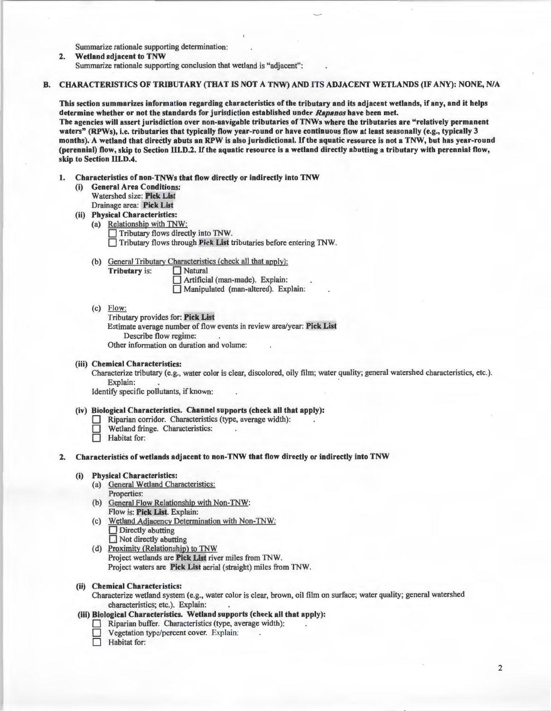Summarize rationale supporting determination:

2. Wetland adjacent to TNW

Summarize rationale supporting conclusion that wetland is "adjacent":

## B. CHARACTERISTICS OF TRIBUTARY (THAT IS NOT A TNW) AND ITS ADJACENT WETLANDS (IF ANY): NONE, N/A

This section summarizes information regarding characteristics of the tributary and its adjacent wetlands, if any, and it helps determine whether or not the standards for jurisdiction established under *Rapanos* have been met.

The agencies will assert jurisdiction over non-navigable tributaries ofTNWs where the tributaries are "relatively permanent waters" (RPWs), i.e. tributaries that typically flow year-round or have continuous flow at least seasonally (e.g., typically 3 months). A wetland that directly abuts an RPW is also jurisdictional. If the aquatic resource is not a TNW, but has year-round (perennial) flow, skip to Section Ill.D.2. If the aquatic resource is a wetland directly abutting a tributary with perennial· flow, skip to Section Ill.D.4.

- 1. Characteristics of non-TNWs that flow directly or indirectly into TNW
	- (i) General Area Conditions: Watershed size: Pick List Drainage area: Pick List
	- (ii) Physical Characteristics:
		- (a) Relationship with TNW: Tributary flows directly into TNW. D Tributary flows through Pick List tributaries before entering TNW.
		- (b) General Tributary Characteristics (check all that apply):
			- Tributary is: Natural

Artificial (man-made). Explain: D Manipulated (man-altered). Explain:

(c) Flow:

Tributary provides for: Pick List

Estimate average number of flow events in review area/year: Pick List Describe flow regime: Other information on duration and volume:

### (iii) Chemical Characteristics:

Characterize tributary (e.g., water color is clear, discolored, oily film; water quality; general watershed characteristics, etc.). Explain:

Identify specific pollutants, if known:

## (iv) Biological Characteristics. Channel supports (check all that apply):

- D Riparian corridor. Characteristics (type, average width):
- Wetland fringe. Characteristics:
- $\Box$  Habitat for:
- 2. Characteristics of wetlands adjacent to non-TNW that flow directly or indirectly into TNW

### (i) Physical Characteristics:

- (a) General Wetland Characteristics: Properties:
- (b) General Flow Relationship with Non-TNW: Flow is: Pick List. Explain:
- (c) Wetland Adjacency Determination with Non-TNW:  $\Box$  Directly abutting  $\Box$  Not directly abutting
- (d) Proximity (Relationship) to TNW Project wetlands are Pick List river miles from TNW. Project waters are Pick List aerial (straight) miles from TNW.

## (ii) Chemical Characteristics:

Characterize wetland system (e.g., water color is clear, brown, oil film on surface; water quality; general watershed characteristics; etc.). Explain:

## (iii) Biological Characteristics. Wetland supports (check all that apply):

- D Riparian buffer. Characteristics (type, average width):
- Vegetation type/percent cover. Explain:
- Habitat for: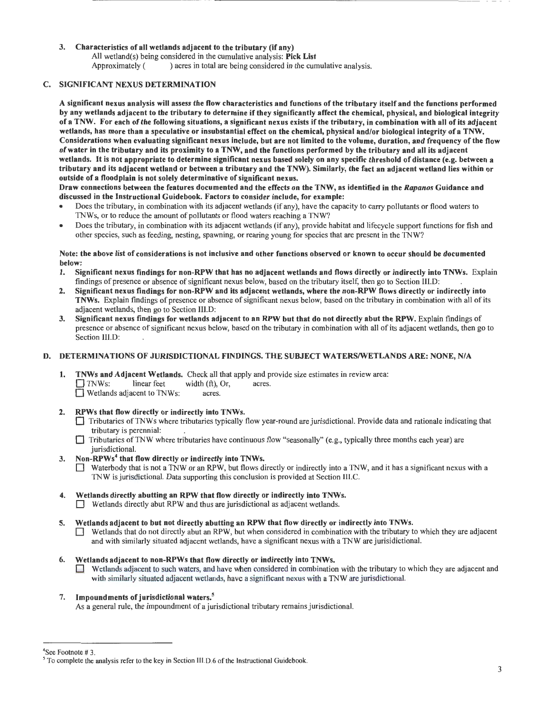# 3. Characteristics of all wetlands adjacent to the tributary (if any)

All wetland(s) being considered in the cumulative analysis: **Pick List** Approximately  $($  acres in total are being considered in the cun ) acres in total are being considered in the cumulative analysis.

# C. SIGNIFICANT NEXUS DETERMINATION

A significant nexus analysis will assess the flow characteristics and functions of the tributary itself and the functions performed by any wetlands adjacent to the tributary to determine if they significantly affect the chemical, physical, and biological integrity of a TNW. For each of the following situations, a significant nexus exists if the tributary, in combination with all of its adjacent wetlands, has more than a speculative or insubstantial effect on the chemical, physical and/or biological integrity of a TNW. Considerations when evaluating significant nexus include, but are not limited to the volume, duration, and frequency of the flow of water in the tributary and its proximity to a TNW, and the functions performed by the tributary and all its adjacent wetlands. It is not appropriate to determine significant nexus based solely on any specific threshold of distance (e.g. between a tributary and its adjacent wetland or between a tributary and the TNW). Similarly, the fact an adjacent wetland lies within or outside of a floodplain is not solely determinative of significant nexus.

Draw connections between the features documented and the effects on the TNW, as identified in the *Rapanos* Guidance and discussed in the Instructional Guidebook. Factors to consider include, for example:

- Does the tributary, in combination with its adjacent wetlands (if any), have the capacity to carry pollutants or flood waters to TNWs, or to reduce the amount of pollutants or flood waters reaching a TNW?
- Does the tributary, in combination with its adjacent wetlands (if any), provide habitat and lifecycle support functions for fish and other species, such as feeding, nesting, spawning, or rearing young for species that are present in the TNW?

### Note: the above list of considerations is not inclusive and other functions observed or known to occur should be documented below:

- 1. Significant nexus findings for non-RPW that has no adjacent wetlands and flows directly or indirectly into TNWs. Explain findings of presence or absence of significant nexus below, based on the tributary itself, then go to Section lll.D:
- 2. Significant nexus findings for non-RPW and its adjacent wetlands, where the non-RPW flows directly or indirectly into TNWs. Explain findings of presence or absence of significant nexus below, based on the tributary in combination with all of its adjacent wetlands, then go to Section III.D:
- 3. Significant nexus findings for wetlands adjacent to an RPW but that do not directly abut the RPW. Explain findings of presence or absence of significant nexus below, based on the tributary in combination with all of its adjacent wetlands, then go to Section III.D:

# D. DETERMINATIONS OF JURISDICTIONAL FINDINGS. THE SUBJECT WATERS/WETLANDS ARE: NONE, NIA

- 1. **TNWs and Adjacent Wetlands.** Check all that apply and provide size estimates in review area:<br> $\Box$  TNWs: linear feet width (ft), Or, acres.  $linear feet$  width  $(ft)$ , Or, acres.  $\overline{\Box}$  Wetlands adjacent to TNWs: acres.
- 2. RPWs that flow directly or indirectly into TNWs.
	- 0 Tributaries ofTNWs where tributaries typically flow year-round are jurisdictional. Provide data and rationale indicating that tributary is perennial:
	- $\Box$  Tributaries of TNW where tributaries have continuous flow "seasonally" (e.g., typically three months each year) are jurisdictional.
- 3. Non-RPWs<sup>4</sup> that flow directly or indirectly into TNWs.
	- Waterbody that is not a TNW or an RPW, but flows directly or indirectly into a TNW, and it has a significant nexus with a TNW is jurisdictional. Data supporting this conclusion is provided at Section III.C.
- 4. Wetlands directly abutting an RPW that flow directly or indirectly into TNWs.  $\Box$  Wetlands directly abut RPW and thus are jurisdictional as adjacent wetlands.
- 5. Wetlands adjacent to but not directly abutting an RPW that flow directly or indirectly into TNWs.  $\Box$  Wetlands that do not directly abut an RPW, but when considered in combination with the tributary to which they are adjacent and with similarly situated adjacent wetlands, have a significant nexus with a TNW are jurisidictional.
- 6. Wetlands adjacent to non-RPWs that flow directly or indirectly into TNWs. Wetlands adjacent to such waters, and have when considered in combination with the tributary to which they are adjacent and with similarly situated adjacent wetlands, have a significant nexus with a TNW are jurisdictional.
- 7. Impoundments of jurisdictional waters.<sup>5</sup> As a general rule, the impoundment of a jurisdictional tributary remains jurisdictional.

4 See Footnote# 3.

<sup>&</sup>lt;sup>5</sup> To complete the analysis refer to the key in Section III.D.6 of the Instructional Guidebook.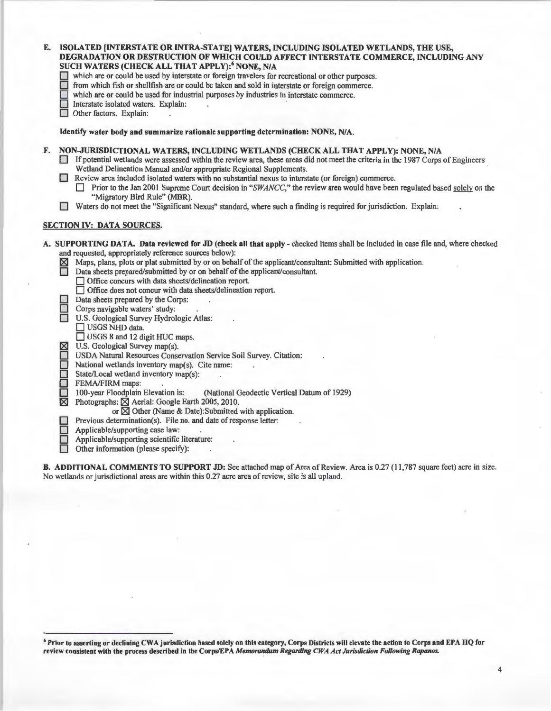# E. ISOLATED [INTERSTATE OR INTRA-STATE] WATERS, INCLUDING ISOLATED WETLANDS, THE USE, DEGRADATION OR DESTRUCTION OF WHICH COULD AFFECT INTERSTATE COMMERCE, INCLUDING ANY SUCH WATERS (CHECK ALL THAT APPLY):<sup>6</sup> NONE, N/A

- which are or could be used by interstate or foreign travelers for recreational or other purposes.
- from which fish or shellfish are or could be taken and sold in interstate or foreign commerce.
- which are or could be used for industrial purposes by industries in interstate commerce.
- $\Box$  Interstate isolated waters. Explain:
- Other factors. Explain:

Identify water body and summarize rationale supporting determination: NONE, NIA.

F. NON-JURISDICTIONAL WATERS, INCLUDING WETLANDS (CHECK ALL THAT APPLY): NONE, NIA

- 0 If potential wetlands were assessed within the review area, these areas did not meet the criteria in the 1987 Corps of Engineers Wetland Delineation Manual and/or appropriate Regional Supplements.
- Review area included isolated waters with no substantial nexus to interstate (or foreign) commerce.

Prior to the Jan 2001 Supreme Court decision in "SWANCC," the review area would have been regulated based solely on the "Migratory Bird Rule" (MBR).

0 Waters do not meet the "Significant Nexus" standard, where such a finding is required for jurisdiction. Explain:

#### SECTION IV: DATA SOURCES.

- A. SUPPORTING DATA. Data reviewed for JD (check all that apply checked items shall be included in case file and, where checked and requested, appropriately reference sources below):
	- ⊠ Maps, plans, plots or plat submitted by or on behalf of the applicant/consultant: Submitted with application. <br>□ Data sheets prepared/submitted by or on behalf of the applicant/consultant.
		- - 0 Office concurs with data sheets/delineation report.
		- 0 Office does not concur with data sheets/delineation report.
	- Data sheets prepared by the Corps:
	- Corps navigable waters' study:
	- **D.S. Geological Survey Hydrologic Atlas:**
	- $\Box$  USGS NHD data.
	- USGS 8 and 12 digit HUC maps.
	- U.S. Geological Survey map(s).
	- USDA Natural Resources Conservation Service Soil Survey. Citation:<br>
	National wetlands inventory map(s). Cite name:<br>
	State/Local wetland inventory map(s):<br>
	FEMA/FIRM maps:
	- National wetlands inventory map(s). Cite name:
	- State/Local wetland inventory map(s):
	-
	- FEMA/FIRM maps:<br>100-year Floodplain Elevation is: (National Geodectic Vertical Datum of 1929)
	- Photographs:  $\overrightarrow{X}$  Aerial: Google Earth 2005, 2010.

or  $\boxtimes$  Other (Name & Date):Submitted with application.

- □ Previous determination(s). File no. and date of response letter:<br>□ Applicable/supporting case law:<br>□ Applicable/supporting scientific literature:
- Applicable/supporting case law:
- $\Box$  Applicable/supporting scientific literature:<br>  $\Box$  Other information (please specify):
- Other information (please specify):

B. ADDITIONAL COMMENTS TO SUPPORT JD: See attached map of Area of Review. Area is 0.27 (11,787 square feet) acre in size. No wetlands or jurisdictional areas are within this 0.27 acre area of review, site is all upland.

6 Prior to asserting or declining CWA jurisdiction based solely on this category, Corps Districts will elevate the action to Corps and EPA HQ for review consistent with the process described in the Corps/EPA *Memorandum Regarding CWA Act Jurisdiction Following Rapanos.*